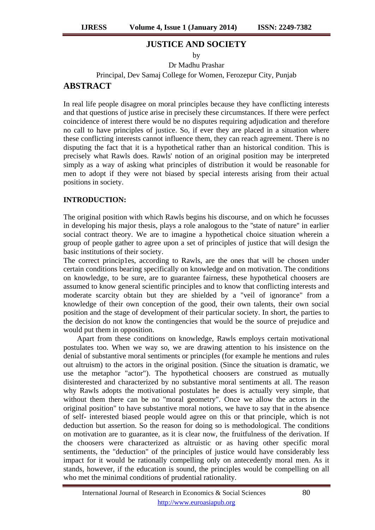## **JUSTICE AND SOCIETY**

by

Dr Madhu Prashar

Principal, Dev Samaj College for Women, Ferozepur City, Punjab

## **ABSTRACT**

In real life people disagree on moral principles because they have conflicting interests and that questions of justice arise in precisely these circumstances. If there were perfect coincidence of interest there would be no disputes requiring adjudication and therefore no call to have principles of justice. So, if ever they are placed in a situation where these conflicting interests cannot influence them, they can reach agreement. There is no disputing the fact that it is a hypothetical rather than an historical condition. This is precisely what Rawls does. Rawls' notion of an original position may be interpreted simply as a way of asking what principles of distribution it would be reasonable for men to adopt if they were not biased by special interests arising from their actual positions in society.

## **INTRODUCTION:**

The original position with which Rawls begins his discourse, and on which he focusses in developing his major thesis, plays a role analogous to the ''state of nature'' in earlier social contract theory. We are to imagine a hypothetical choice situation wherein a group of people gather to agree upon a set of principles of justice that will design the basic institutions of their society.

The correct princip1es, according to Rawls, are the ones that will be chosen under certain conditions bearing specifically on knowledge and on motivation. The conditions on knowledge, to be sure, are to guarantee fairness, these hypothetical choosers are assumed to know general scientific principles and to know that conflicting interests and moderate scarcity obtain but they are shielded by a "veil of ignorance" from a knowledge of their own conception of the good, their own talents, their own social position and the stage of development of their particular society. In short, the parties to the decision do not know the contingencies that would be the source of prejudice and would put them in opposition.

Apart from these conditions on knowledge, Rawls employs certain motivational postulates too. When we way so, we are drawing attention to his insistence on the denial of substantive moral sentiments or principles (for example he mentions and rules out altruism) to the actors in the original position. (Since the situation is dramatic, we use the metaphor "actor"). The hypothetical choosers are construed as mutually disinterested and characterized by no substantive moral sentiments at all. The reason why Rawls adopts the motivational postulates he does is actually very simple, that without them there can be no "moral geometry". Once we allow the actors in the original position" to have substantive moral notions, we have to say that in the absence of self- interested biased people would agree on this or that principle, which is not deduction but assertion. So the reason for doing so is methodological. The conditions on motivation are to guarantee, as it is clear now, the fruitfulness of the derivation. If the choosers were characterized as altruistic or as having other specific moral sentiments, the "deduction" of the principles of justice would have considerably less impact for it would be rationally compelling only on antecedently moral men. As it stands, however, if the education is sound, the principles would be compelling on all who met the minimal conditions of prudential rationality.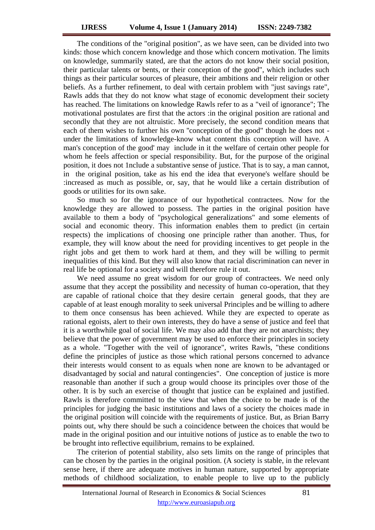The conditions of the "original position", as we have seen, can be divided into two kinds: those which concern knowledge and those which concern motivation. The limits on knowledge, summarily stated, are that the actors do not know their social position, their particular talents or bents, or their conception of the good", which includes such things as their particular sources of pleasure, their ambitions and their religion or other beliefs. As a further refinement, to deal with certain problem with "just savings rate", Rawls adds that they do not know what stage of economic development their society has reached. The limitations on knowledge Rawls refer to as a "veil of ignorance"; The motivational postulates are first that the actors :in the original position are rational and secondly that they are not altruistic. More precisely, the second condition means that each of them wishes to further his own ''conception of the good" though he does not under the limitations of knowledge-know what content this conception will have. A man's conception of the good' may include in it the welfare of certain other people for whom he feels affection or special responsibility. But, for the purpose of the original position, it does not 1nclude a substantive sense of justice. That is to say, a man cannot, in the original position, take as his end the idea that everyone's welfare should be :increased as much as possible, or, say, that he would like a certain distribution of goods or utilities for its own sake.

So much so for the ignorance of our hypothetical contractees. Now for the knowledge they are allowed to possess. The parties in the original position have available to them a body of "psychological generalizations" and some elements of social and economic theory. This information enables them to predict (in certain respects) the implications of choosing one principle rather than another. Thus, for example, they will know about the need for providing incentives to get people in the right jobs and get them to work hard at them, and they will be willing to permit inequalities of this kind. But they will also know that racial discrimination can never in real life be optional for a society and will therefore rule it out.

We need assume no great wisdom for our group of contractees. We need only assume that they accept the possibility and necessity of human co-operation, that they are capable of rational choice that they desire certain general goods, that they are capable of at least enough morality to seek universal Principles and be willing to adhere to them once consensus has been achieved. While they are expected to operate as rational egoists, alert to their own interests, they do have a sense of justice and feel that it is a worthwhile goal of social life. We may also add that they are not anarchists; they believe that the power of government may be used to enforce their principles in society as a whole. "Together with the veil of ignorance", writes Rawls, "these conditions define the principles of justice as those which rational persons concerned to advance their interests would consent to as equals when none are known to be advantaged or disadvantaged by social and natural contingencies". One conception of justice is more reasonable than another if such a group would choose its principles over those of the other. It is by such an exercise of thought that justice can be explained and justified. Rawls is therefore committed to the view that when the choice to be made is of the principles for judging the basic institutions and laws of a society the choices made in the original position will coincide with the requirements of justice. But, as Brian Barry points out, why there should be such a coincidence between the choices that would be made in the original position and our intuitive notions of justice as to enable the two to be brought into reflective equilibrium, remains to be explained.

The criterion of potential stability, also sets limits on the range of principles that can be chosen by the parties in the original position. (A society is stable, in the relevant sense here, if there are adequate motives in human nature, supported by appropriate methods of childhood socialization, to enable people to live up to the publicly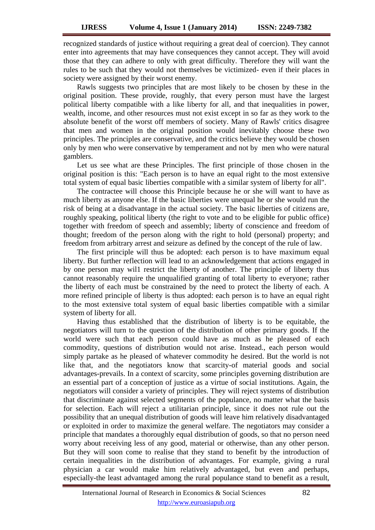recognized standards of justice without requiring a great deal of coercion). They cannot enter into agreements that may have consequences they cannot accept. They will avoid those that they can adhere to only with great difficulty. Therefore they will want the rules to be such that they would not themselves be victimized- even if their places in society were assigned by their worst enemy.

Rawls suggests two principles that are most likely to be chosen by these in the original position. These provide, roughly, that every person must have the largest political liberty compatible with a like liberty for all, and that inequalities in power, wealth, income, and other resources must not exist except in so far as they work to the absolute benefit of the worst off members of society. Many of Rawls' critics disagree that men and women in the original position would inevitably choose these two principles. The principles are conservative, and the critics believe they would be chosen only by men who were conservative by temperament and not by men who were natural gamblers.

Let us see what are these Principles. The first principle of those chosen in the original position is this: "Each person is to have an equal right to the most extensive total system of equal basic liberties compatible with a similar system of liberty for all".

The contractee will choose this Principle because he or she will want to have as much liberty as anyone else. If the basic liberties were unequal he or she would run the risk of being at a disadvantage in the actual society. The basic liberties of citizens are, roughly speaking, political liberty (the right to vote and to be eligible for public office) together with freedom of speech and assembly; liberty of conscience and freedom of thought; freedom of the person along with the right to hold (personal) property; and freedom from arbitrary arrest and seizure as defined by the concept of the rule of law.

The first principle will thus be adopted: each person is to have maximum equal liberty. But further reflection will lead to an acknowledgement that actions engaged in by one person may wil1 restrict the liberty of another. The principle of liberty thus cannot reasonably require the unqualified granting of total liberty to everyone; rather the liberty of each must be constrained by the need to protect the liberty of each. A more refined principle of liberty is thus adopted: each person is to have an equal right to the most extensive total system of equal basic liberties compatible with a similar system of liberty for all.

Having thus established that the distribution of liberty is to be equitable, the negotiators will turn to the question of the distribution of other primary goods. If the world were such that each person could have as much as he pleased of each commodity, questions of distribution would not arise. Instead., each person would simply partake as he pleased of whatever commodity he desired. But the world is not like that, and the negotiators know that scarcity-of material goods and social advantages-prevails. In a context of scarcity, some principles governing distribution are an essential part of a conception of justice as a virtue of social institutions. Again, the negotiators will consider a variety of principles. They will reject systems of distribution that discriminate against selected segments of the populance, no matter what the basis for selection. Each will reject a utilitarian principle, since it does not rule out the possibility that an unequal distribution of goods will leave him relatively disadvantaged or exploited in order to maximize the general welfare. The negotiators may consider a principle that mandates a thoroughly equal distribution of goods, so that no person need worry about receiving less of any good, material or otherwise, than any other person. But they will soon come to realise that they stand to benefit by the introduction of certain inequalities in the distribution of advantages. For example, giving a rural physician a car would make him relatively advantaged, but even and perhaps, especially-the least advantaged among the rural populance stand to benefit as a result,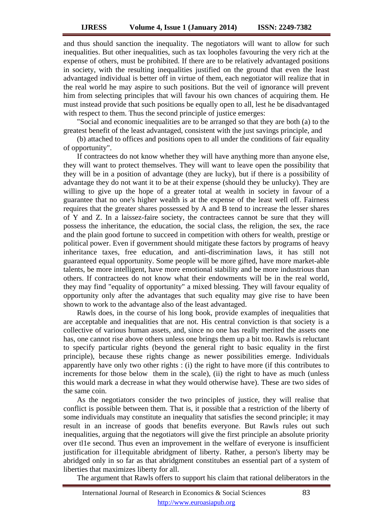and thus should sanction the inequality. The negotiators will want to allow for such inequalities. But other inequalities, such as tax loopholes favouring the very rich at the expense of others, must be prohibited. If there are to be relatively advantaged positions in society, with the resulting inequalities justified on the ground that even the least advantaged individual is better off in virtue of them, each negotiator will realize that in the real world he may aspire to such positions. But the veil of ignorance will prevent him from selecting principles that will favour his own chances of acquiring them. He must instead provide that such positions be equally open to all, lest he be disadvantaged with respect to them. Thus the second principle of justice emerges:

"Social and economic inequalities are to be arranged so that they are both (a) to the greatest benefit of the least advantaged, consistent with the just savings principle, and

(b) attached to offices and positions open to all under the conditions of fair equality of opportunity".

If contractees do not know whether they will have anything more than anyone else, they will want to protect themselves. They will want to leave open the possibility that they will be in a position of advantage (they are lucky), but if there is a possibility of advantage they do not want it to be at their expense (should they be unlucky). They are willing to give up the hope of a greater total at wealth in society in favour of a guarantee that no one's higher wealth is at the expense of the least well off. Fairness requires that the greater shares possessed by A and B tend to increase the lesser shares of Y and Z. In a laissez-faire society, the contractees cannot be sure that they will possess the inheritance, the education, the social class, the religion, the sex, the race and the plain good fortune to succeed in competition with others for wealth, prestige or political power. Even if government should mitigate these factors by programs of heavy inheritance taxes, free education, and anti-discrimination laws, it has still not guaranteed equal opportunity. Some people will be more gifted, have more market-able talents, be more intelligent, have more emotional stability and be more industrious than others. If contractees do not know what their endowments will be in the real world, they may find "equality of opportunity" a mixed blessing. They will favour equality of opportunity only after the advantages that such equality may give rise to have been shown to work to the advantage also of the least advantaged.

Rawls does, in the course of his long book, provide examples of inequalities that are acceptable and inequalities that are not. His central conviction is that society is a collective of various human assets, and, since no one has really merited the assets one has, one cannot rise above others unless one brings them up a bit too. Rawls is reluctant to specify particular rights (beyond the general right to basic equality in the first principle), because these rights change as newer possibilities emerge. Individuals apparently have only two other rights : (i) the right to have more (if this contributes to increments for those below them in the scale), (ii) the right to have as much (unless this would mark a decrease in what they would otherwise have). These are two sides of the same coin.

As the negotiators consider the two principles of justice, they will realise that conflict is possible between them. That is, it possible that a restriction of the liberty of some individuals may constitute an inequality that satisfies the second principle; it may result in an increase of goods that benefits everyone. But Rawls rules out such inequalities, arguing that the negotiators will give the first principle an absolute priority over tl1e second. Thus even an improvement in the welfare of everyone is insufficient justification for il1equitable abridgment of liberty. Rather, a person's liberty may be abridged only in so far as that abridgment constitubes an essential part of a system of liberties that maximizes liberty for all.

The argument that Rawls offers to support his claim that rational deliberators in the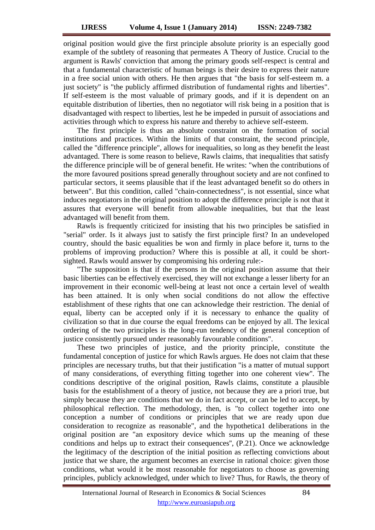original position would give the first principle absolute priority is an especially good example of the subtlety of reasoning that permeates A Theory of Justice. Crucial to the argument is Rawls' conviction that among the primary goods self-respect is central and that a fundamental characteristic of human beings is their desire to express their nature in a free social union with others. He then argues that "the basis for self-esteem m. a just society'' is "the publicly affirmed distribution of fundamental rights and liberties". If self-esteem is the most valuable of primary goods, and if it is dependent on an equitable distribution of liberties, then no negotiator will risk being in a position that is disadvantaged with respect to liberties, lest he be impeded in pursuit of associations and activities through which to express his nature and thereby to achieve self-esteem.

The first principle is thus an absolute constraint on the formation of social institutions and practices. Within the limits of that constraint, the second principle, called the "difference principle", allows for inequalities, so long as they benefit the least advantaged. There is some reason to believe, Rawls claims, that inequalities that satisfy the difference principle will be of general benefit. He writes: "when the contributions of the more favoured positions spread generally throughout society and are not confined to particular sectors, it seems plausible that if the least advantaged benefit so do others in between". But this condition, called "chain-connectedness", is not essential, since what induces negotiators in the original position to adopt the difference principle is not that it assures that everyone will benefit from allowable inequalities, but that the least advantaged will benefit from them.

Rawls is frequently criticized for insisting that his two principles be satisfied in "serial" order. Is it always just to satisfy the first principle first? In an undeveloped country, should the basic equalities be won and firmly in place before it, turns to the problems of improving production? Where this is possible at all, it could be shortsighted. Rawls would answer by compromising his ordering rule:-

"The supposition is that if the persons in the original position assume that their basic liberties can be effectively exercised, they will not exchange a lesser liberty for an improvement in their economic well-being at least not once a certain level of wealth has been attained. It is only when social conditions do not allow the effective establishment of these rights that one can acknowledge their restriction. The denial of equal, liberty can be accepted only if it is necessary to enhance the quality of civilization so that in due course the equal freedoms can be enjoyed by all. The lexical ordering of the two principles is the long-run tendency of the general conception of justice consistently pursued under reasonably favourable conditions".

These two principles of justice, and the priority principle, constitute the fundamental conception of justice for which Rawls argues. He does not claim that these principles are necessary truths, but that their justification "is a matter of mutual support of many considerations, of everything fitting together into one coherent view''. The conditions descriptive of the original position, Rawls claims, constitute a plausible basis for the establishment of a theory of justice, not because they are a priori true, but simply because they are conditions that we do in fact accept, or can be led to accept, by philosophical reflection. The methodology, then, is "to collect together into one conception a number of conditions or principles that we are ready upon due consideration to recognize as reasonable", and the hypothetica1 deliberations in the original position are "an expository device which sums up the meaning of these conditions and helps up to extract their consequences'', (P.21). Once we acknowledge the legitimacy of the description of the initial position as reflecting convictions about justice that we share, the argument becomes an exercise in rational choice: given those conditions, what would it be most reasonable for negotiators to choose as governing principles, publicly acknowledged, under which to live? Thus, for Rawls, the theory of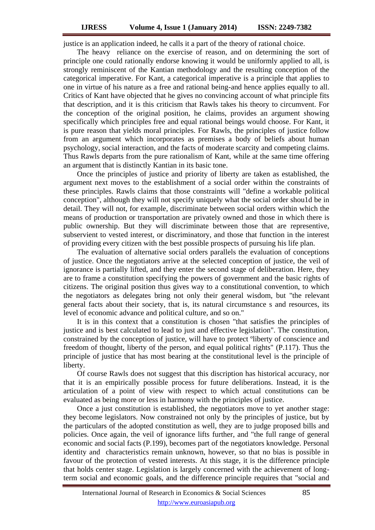justice is an application indeed, he calls it a part of the theory of rational choice.

The heavy reliance on the exercise of reason, and on determining the sort of principle one could rationally endorse knowing it would be uniformly applied to all, is strongly reminiscent of the Kantian methodology and the resulting conception of the categorical imperative. For Kant, a categorical imperative is a principle that applies to one in virtue of his nature as a free and rational being-and hence applies equally to all. Critics of Kant have objected that he gives no convincing account of what principle fits that description, and it is this criticism that Rawls takes his theory to circumvent. For the conception of the original position, he claims, provides an argument showing specifically which principles free and equal rational beings would choose. For Kant, it is pure reason that yields moral principles. For Rawls, the principles of justice follow from an argument which incorporates as premises a body of beliefs about human psychology, social interaction, and the facts of moderate scarcity and competing claims. Thus Rawls departs from the pure rationalism of Kant, while at the same time offering an argument that is distinctly Kantian in its basic tone.

Once the principles of justice and priority of liberty are taken as established, the argument next moves to the establishment of a social order within the constraints of these principles. Rawls claims that those constraints will "define a workable political conception", although they will not specify uniquely what the social order shou1d be in detail. They will not, for example, discriminate between social orders within which the means of production or transportation are privately owned and those in which there is public ownership. But they will discriminate between those that are representive, subservient to vested interest, or discriminatory, and those that function in the interest of providing every citizen with the best possible prospects of pursuing his life plan.

The evaluation of alternative social orders parallels the evaluation of conceptions of justice. Once the negotiators arrive at the selected conception of justice, the veil of ignorance is partially lifted, and they enter the second stage of deliberation. Here, they are to frame a constitution specifying the powers of government and the basic rights of citizens. The original position thus gives way to a constitutional convention, to which the negotiators as delegates bring not only their general wisdom, but "the relevant general facts about their society, that is, its natural circumstance s and resources, its level of economic advance and political culture, and so on."

It is in this context that a constitution is chosen "that satisfies the principles of justice and is best calculated to lead to just and effective legislation". The constitution, constrained by the conception of justice, will have to protect ºliberty of conscience and freedom of thought, liberty of the person, and equal political rights" (P.117). Thus the principle of justice that has most bearing at the constitutional level is the principle of liberty.

Of course Rawls does not suggest that this discription has historical accuracy, nor that it is an empirically possible process for future deliberations. Instead, it is the articulation of a point of view with respect to which actual constitutions can be evaluated as being more or less in harmony with the principles of justice.

Once a just constitution is established, the negotiators move to yet another stage: they become legislators. Now constrained not only by the principles of justice, but by the particulars of the adopted constitution as well, they are to judge proposed bills and policies. Once again, the veil of ignorance lifts further, and "the full range of general economic and social facts (P.199), becomes part of the negotiators knowledge. Personal identity and characteristics remain unknown, however, so that no bias is possible in favour of the protection of vested interests. At this stage, it is the difference principle that holds center stage. Legislation is largely concerned with the achievement of longterm social and economic goals, and the difference principle requires that "social and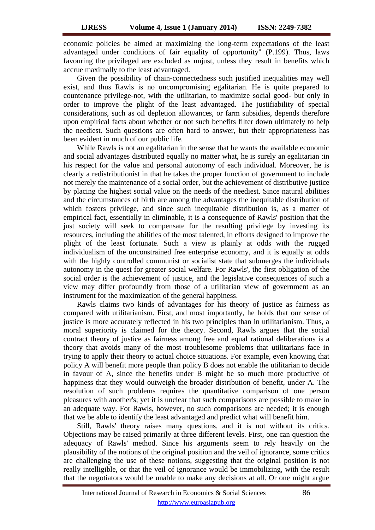economic policies be aimed at maximizing the long-term expectations of the least advantaged under conditions of fair equality of opportunity" (P.199). Thus, laws favouring the privileged are excluded as unjust, unless they result in benefits which accrue maximally to the least advantaged.

Given the possibility of chain-connectedness such justified inequalities may well exist, and thus Rawls is no uncompromising egalitarian. He is quite prepared to countenance privilege-not, with the utilitarian, to maximize social good- but only in order to improve the plight of the least advantaged. The justifiability of special considerations, such as oil depletion allowances, or farm subsidies, depends therefore upon empirical facts about whether or not such benefits filter down ultimately to help the neediest. Such questions are often hard to answer, but their appropriateness has been evident in much of our public life.

While Rawls is not an egalitarian in the sense that he wants the available economic and social advantages distributed equally no matter what, he is surely an egalitarian :in his respect for the value and personal autonomy of each individual. Moreover, he is clearly a redistributionist in that he takes the proper function of government to include not merely the maintenance of a social order, but the achievement of distributive justice by placing the highest social value on the needs of the neediest. Since natural abilities and the circumstances of birth are among the advantages the inequitable distribution of which fosters privilege, and since such inequitable distribution is, as a matter of empirical fact, essentially in eliminable, it is a consequence of Rawls' position that the just society will seek to compensate for the resulting privilege by investing its resources, including the abilities of the most talented, in efforts designed to improve the plight of the least fortunate. Such a view is plainly at odds with the rugged individualism of the unconstrained free enterprise economy, and it is equally at odds with the highly controlled communist or socialist state that submerges the individuals autonomy in the quest for greater social welfare. For Rawls', the first obligation of the social order is the achievement of justice, and the legislative consequences of such a view may differ profoundly from those of a utilitarian view of government as an instrument for the maximization of the general happiness.

Rawls claims two kinds of advantages for his theory of justice as fairness as compared with utilitarianism. First, and most importantly, he holds that our sense of justice is more accurately reflected in his two principles than in utilitarianism. Thus, a moral superiority is claimed for the theory. Second, Rawls argues that the social contract theory of justice as fairness among free and equal rational deliberations is a theory that avoids many of the most troublesome problems that utilitarians face in trying to apply their theory to actual choice situations. For example, even knowing that policy A will benefit more people than policy B does not enable the utilitarian to decide in favour of A, since the benefits under B might be so much more productive of happiness that they would outweigh the broader distribution of benefit, under A. The resolution of such problems requires the quantitative comparison of one person pleasures with another's; yet it is unclear that such comparisons are possible to make in an adequate way. For Rawls, however, no such comparisons are needed; it is enough that we be able to identify the least advantaged and predict what will benefit him.

Still, Rawls' theory raises many questions, and it is not without its critics. Objections may be raised primarily at three different levels. First, one can question the adequacy of Rawls' method. Since his arguments seem to rely heavily on the plausibility of the notions of the original position and the veil of ignorance, some critics are challenging the use of these notions, suggesting that the original position is not really intelligible, or that the veil of ignorance would be immobilizing, with the result that the negotiators would be unable to make any decisions at all. Or one might argue